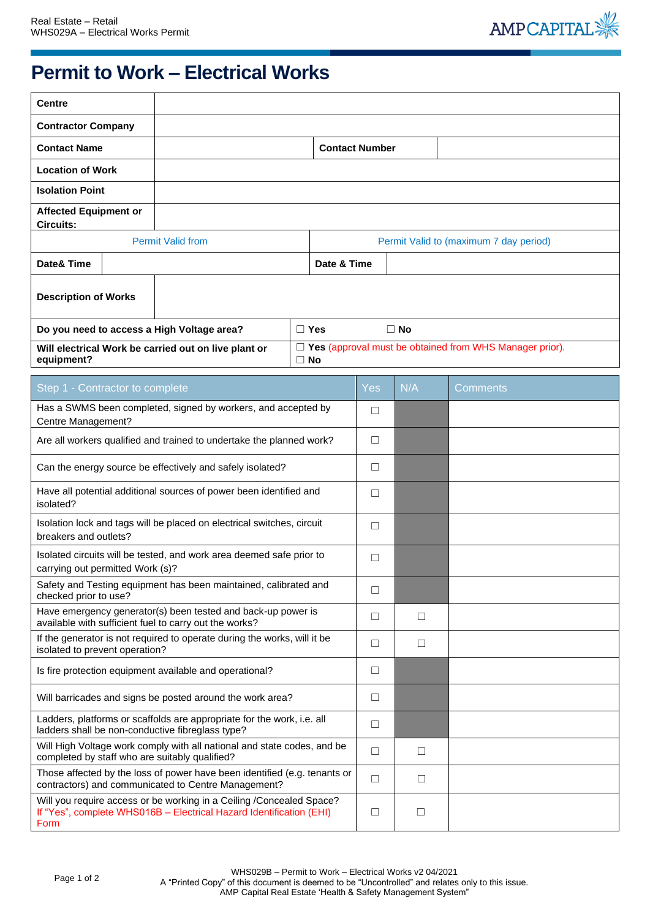

## **Permit to Work – Electrical Works**

| <b>Centre</b>                                                                                                                                       |                                                                                                  |                                                           |                       |             |           |        |                                                                |  |
|-----------------------------------------------------------------------------------------------------------------------------------------------------|--------------------------------------------------------------------------------------------------|-----------------------------------------------------------|-----------------------|-------------|-----------|--------|----------------------------------------------------------------|--|
| <b>Contractor Company</b>                                                                                                                           |                                                                                                  |                                                           |                       |             |           |        |                                                                |  |
| <b>Contact Name</b>                                                                                                                                 |                                                                                                  |                                                           | <b>Contact Number</b> |             |           |        |                                                                |  |
| <b>Location of Work</b>                                                                                                                             |                                                                                                  |                                                           |                       |             |           |        |                                                                |  |
| <b>Isolation Point</b>                                                                                                                              |                                                                                                  |                                                           |                       |             |           |        |                                                                |  |
| <b>Affected Equipment or</b>                                                                                                                        |                                                                                                  |                                                           |                       |             |           |        |                                                                |  |
| <b>Circuits:</b><br><b>Permit Valid from</b><br>Permit Valid to (maximum 7 day period)                                                              |                                                                                                  |                                                           |                       |             |           |        |                                                                |  |
| Date& Time                                                                                                                                          |                                                                                                  |                                                           |                       | Date & Time |           |        |                                                                |  |
| <b>Description of Works</b>                                                                                                                         |                                                                                                  |                                                           |                       |             |           |        |                                                                |  |
|                                                                                                                                                     |                                                                                                  | Do you need to access a High Voltage area?                |                       | $\Box$ Yes  | $\Box$ No |        |                                                                |  |
| equipment?                                                                                                                                          |                                                                                                  | Will electrical Work be carried out on live plant or      | $\Box$ No             |             |           |        | $\Box$ Yes (approval must be obtained from WHS Manager prior). |  |
|                                                                                                                                                     |                                                                                                  |                                                           |                       |             | Yes.      | N/A    | Comments                                                       |  |
|                                                                                                                                                     | Step 1 - Contractor to complete<br>Has a SWMS been completed, signed by workers, and accepted by |                                                           |                       |             | □         |        |                                                                |  |
| Centre Management?                                                                                                                                  |                                                                                                  |                                                           |                       |             |           |        |                                                                |  |
| Are all workers qualified and trained to undertake the planned work?                                                                                |                                                                                                  |                                                           |                       | □           |           |        |                                                                |  |
|                                                                                                                                                     |                                                                                                  | Can the energy source be effectively and safely isolated? |                       |             | $\Box$    |        |                                                                |  |
| Have all potential additional sources of power been identified and<br>isolated?                                                                     |                                                                                                  |                                                           |                       |             | $\Box$    |        |                                                                |  |
| Isolation lock and tags will be placed on electrical switches, circuit<br>breakers and outlets?                                                     |                                                                                                  |                                                           |                       |             | $\Box$    |        |                                                                |  |
| Isolated circuits will be tested, and work area deemed safe prior to<br>carrying out permitted Work (s)?                                            |                                                                                                  |                                                           |                       |             | □         |        |                                                                |  |
| Safety and Testing equipment has been maintained, calibrated and<br>checked prior to use?                                                           |                                                                                                  |                                                           |                       |             | $\Box$    |        |                                                                |  |
| Have emergency generator(s) been tested and back-up power is<br>available with sufficient fuel to carry out the works?                              |                                                                                                  |                                                           |                       |             | $\Box$    | $\Box$ |                                                                |  |
| If the generator is not required to operate during the works, will it be<br>isolated to prevent operation?                                          |                                                                                                  |                                                           |                       |             | $\Box$    | $\Box$ |                                                                |  |
| Is fire protection equipment available and operational?                                                                                             |                                                                                                  |                                                           |                       |             | □         |        |                                                                |  |
| Will barricades and signs be posted around the work area?                                                                                           |                                                                                                  |                                                           |                       |             | □         |        |                                                                |  |
| Ladders, platforms or scaffolds are appropriate for the work, i.e. all<br>ladders shall be non-conductive fibreglass type?                          |                                                                                                  |                                                           |                       |             | $\Box$    |        |                                                                |  |
| Will High Voltage work comply with all national and state codes, and be<br>completed by staff who are suitably qualified?                           |                                                                                                  |                                                           |                       |             | $\Box$    | $\Box$ |                                                                |  |
| Those affected by the loss of power have been identified (e.g. tenants or<br>contractors) and communicated to Centre Management?                    |                                                                                                  |                                                           |                       |             |           | $\Box$ |                                                                |  |
| Will you require access or be working in a Ceiling /Concealed Space?<br>If "Yes", complete WHS016B - Electrical Hazard Identification (EHI)<br>Form |                                                                                                  |                                                           |                       |             | □         | $\Box$ |                                                                |  |